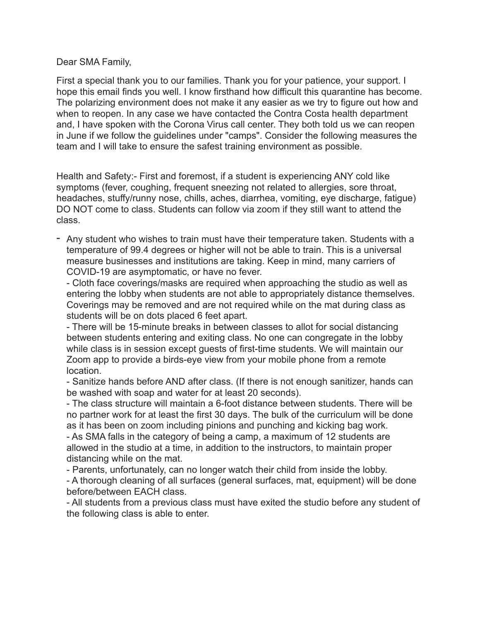## Dear SMA Family,

First a special thank you to our families. Thank you for your patience, your support. I hope this email finds you well. I know firsthand how difficult this quarantine has become. The polarizing environment does not make it any easier as we try to figure out how and when to reopen. In any case we have contacted the Contra Costa health department and, I have spoken with the Corona Virus call center. They both told us we can reopen in June if we follow the guidelines under "camps". Consider the following measures the team and I will take to ensure the safest training environment as possible.

Health and Safety:- First and foremost, if a student is experiencing ANY cold like symptoms (fever, coughing, frequent sneezing not related to allergies, sore throat, headaches, stuffy/runny nose, chills, aches, diarrhea, vomiting, eye discharge, fatigue) DO NOT come to class. Students can follow via zoom if they still want to attend the class.

- Any student who wishes to train must have their temperature taken. Students with a temperature of 99.4 degrees or higher will not be able to train. This is a universal measure businesses and institutions are taking. Keep in mind, many carriers of COVID-19 are asymptomatic, or have no fever.

- Cloth face coverings/masks are required when approaching the studio as well as entering the lobby when students are not able to appropriately distance themselves. Coverings may be removed and are not required while on the mat during class as students will be on dots placed 6 feet apart.

- There will be 15-minute breaks in between classes to allot for social distancing between students entering and exiting class. No one can congregate in the lobby while class is in session except guests of first-time students. We will maintain our Zoom app to provide a birds-eye view from your mobile phone from a remote location.

- Sanitize hands before AND after class. (If there is not enough sanitizer, hands can be washed with soap and water for at least 20 seconds).

- The class structure will maintain a 6-foot distance between students. There will be no partner work for at least the first 30 days. The bulk of the curriculum will be done as it has been on zoom including pinions and punching and kicking bag work.

- As SMA falls in the category of being a camp, a maximum of 12 students are allowed in the studio at a time, in addition to the instructors, to maintain proper distancing while on the mat.

- Parents, unfortunately, can no longer watch their child from inside the lobby.

- A thorough cleaning of all surfaces (general surfaces, mat, equipment) will be done before/between EACH class.

- All students from a previous class must have exited the studio before any student of the following class is able to enter.